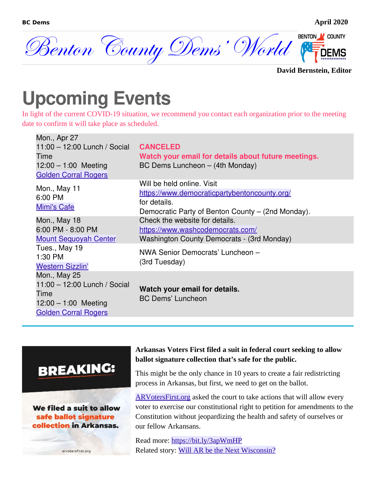

**David Bernstein, Editor**

## **Upcoming Events**

In light of the current COVID-19 situation, we recommend you contact each organization prior to the meeting date to confirm it will take place as scheduled.

| Mon., Apr 27<br>11:00 $-$ 12:00 Lunch / Social                                                                | <b>CANCELED</b>                                                                                                                                 |
|---------------------------------------------------------------------------------------------------------------|-------------------------------------------------------------------------------------------------------------------------------------------------|
| Time                                                                                                          | Watch your email for details about future meetings.                                                                                             |
| $12:00 - 1:00$ Meeting<br><b>Golden Corral Rogers</b>                                                         | BC Dems Luncheon - (4th Monday)                                                                                                                 |
| Mon., May 11<br>6:00 PM<br><b>Mimi's Cafe</b>                                                                 | Will be held online. Visit<br>https://www.democraticpartybentoncounty.org/<br>for details.<br>Democratic Party of Benton County - (2nd Monday). |
| Mon., May 18<br>6:00 PM - 8:00 PM                                                                             | Check the website for details.<br>https://www.washcodemocrats.com/                                                                              |
| <b>Mount Sequoyah Center</b><br>Tues., May 19                                                                 | Washington County Democrats - (3rd Monday)                                                                                                      |
| 1:30 PM<br><b>Western Sizzlin'</b>                                                                            | NWA Senior Democrats' Luncheon -<br>(3rd Tuesday)                                                                                               |
| Mon., May 25<br>11:00 - 12:00 Lunch / Social<br>Time<br>$12:00 - 1:00$ Meeting<br><b>Golden Corral Rogers</b> | Watch your email for details.<br><b>BC Dems' Luncheon</b>                                                                                       |
|                                                                                                               |                                                                                                                                                 |

#### **BREAKING:**

We filed a suit to allow safe ballot signature collection in Arkansas.

arvotersfirst.org

#### **Arkansas Voters First filed a suit in federal court seeking to allow ballot signature collection that's safe for the public.**

This might be the only chance in 10 years to create a fair redistricting process in Arkansas, but first, we need to get on the ballot.

ARV oters First.org asked the court to take actions that will allow every voter to exercise our constitutional right to petition for amendments to the Constitution without jeopardizing the health and safety of ourselves or our fellow Arkansans.

Read more: [https://bit.ly/3apWmHP](https://bit.ly/3apWmHP?fbclid=IwAR3yKxJRSPV5r4sOl2_GZq4jhURNqB1N7-esqQR10R8b1JW6HnASJLHsUYc) Related story: [Will AR be the Next Wisconsin?](#page-3-0)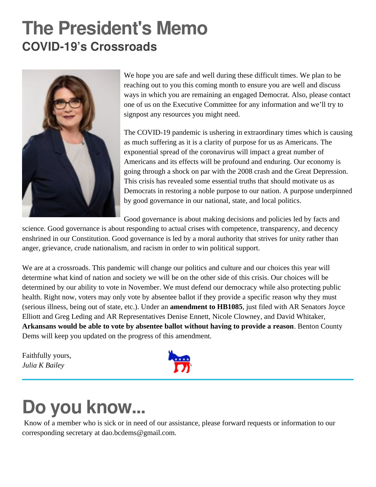## **The President's Memo COVID-19's Crossroads**



We hope you are safe and well during these difficult times. We plan to be reaching out to you this coming month to ensure you are well and discuss ways in which you are remaining an engaged Democrat. Also, please contact one of us on the Executive Committee for any information and we'll try to signpost any resources you might need.

The COVID-19 pandemic is ushering in extraordinary times which is causing as much suffering as it is a clarity of purpose for us as Americans. The exponential spread of the coronavirus will impact a great number of Americans and its effects will be profound and enduring. Our economy is going through a shock on par with the 2008 crash and the Great Depression. This crisis has revealed some essential truths that should motivate us as Democrats in restoring a noble purpose to our nation. A purpose underpinned by good governance in our national, state, and local politics.

Good governance is about making decisions and policies led by facts and

science. Good governance is about responding to actual crises with competence, transparency, and decency enshrined in our Constitution. Good governance is led by a moral authority that strives for unity rather than anger, grievance, crude nationalism, and racism in order to win political support.

We are at a crossroads. This pandemic will change our politics and culture and our choices this year will determine what kind of nation and society we will be on the other side of this crisis. Our choices will be determined by our ability to vote in November. We must defend our democracy while also protecting public health. Right now, voters may only vote by absentee ballot if they provide a specific reason why they must (serious illness, being out of state, etc.). Under an **amendment to HB1085**, just filed with AR Senators Joyce Elliott and Greg Leding and AR Representatives Denise Ennett, Nicole Clowney, and David Whitaker, **Arkansans would be able to vote by absentee ballot without having to provide a reason**. Benton County Dems will keep you updated on the progress of this amendment.

Faithfully yours, *Julia K Bailey*



## **Do you know...**

Know of a member who is sick or in need of our assistance, please forward requests or information to our corresponding secretary at dao.bcdems@gmail.com.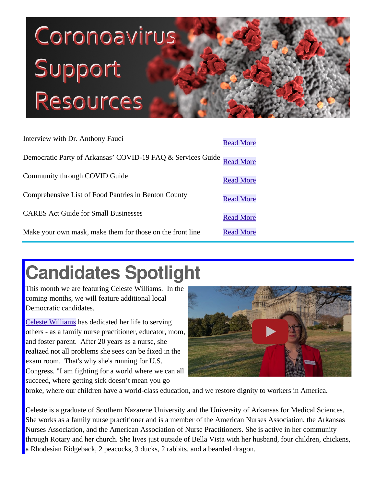# Coronoavirus Support Resources

| Interview with Dr. Anthony Fauci                                      | <b>Read More</b> |
|-----------------------------------------------------------------------|------------------|
| Democratic Party of Arkansas' COVID-19 FAQ & Services Guide Read More |                  |
| Community through COVID Guide                                         | <b>Read More</b> |
| Comprehensive List of Food Pantries in Benton County                  | <b>Read More</b> |
| <b>CARES Act Guide for Small Businesses</b>                           | <b>Read More</b> |
| Make your own mask, make them for those on the front line             | <b>Read More</b> |

## **Candidates Spotlig[ht](https://www.youtube.com/watch?v=as9kKIAqrhQ)**

This month we are featuring Celeste Williams. In the coming months, we will feature additional local Democratic candidates.

[Celeste Williams](https://www.celestewilliamsforarkansas.com/) has dedicated her life to serving others - as a family nurse practitioner, educator, mom, and foster parent. After 20 years as a nurse, she realized not all problems she sees can be fixed in the exam room. That's why she's running for U.S. Congress. "I am fighting for a world where we can all succeed, where getting sick doesn't mean you go



broke, where our children have a world-class education, and we restore dignity to workers in America.

Celeste is a graduate of Southern Nazarene University and the University of Arkansas for Medical Sciences. She works as a family nurse practitioner and is a member of the American Nurses Association, the Arkansas Nurses Association, and the American Association of Nurse Practitioners. She is active in her community through Rotary and her church. She lives just outside of Bella Vista with her husband, four children, chickens, a Rhodesian Ridgeback, 2 peacocks, 3 ducks, 2 rabbits, and a bearded dragon.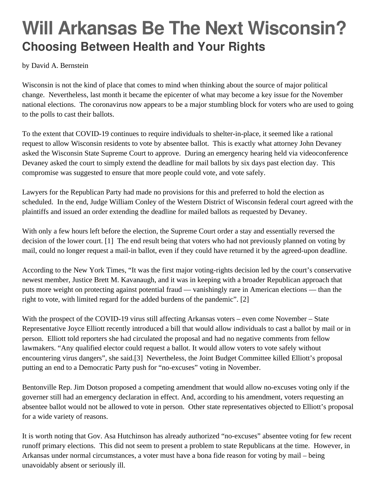### **Will Arkansas Be The Next Wisconsin? Choosing Between Health and Your Rights**

by David A. Bernstein

Wisconsin is not the kind of place that comes to mind when thinking about the source of major political change. Nevertheless, last month it became the epicenter of what may become a key issue for the November national elections. The coronavirus now appears to be a major stumbling block for voters who are used to going to the polls to cast their ballots.

<span id="page-3-0"></span>To the extent that COVID-19 continues to require individuals to shelter-in-place, it seemed like a rational request to allow Wisconsin residents to vote by absentee ballot. This is exactly what attorney John Devaney asked the Wisconsin State Supreme Court to approve. During an emergency hearing held via videoconference Devaney asked the court to simply extend the deadline for mail ballots by six days past election day. This compromise was suggested to ensure that more people could vote, and vote safely.

Lawyers for the Republican Party had made no provisions for this and preferred to hold the election as scheduled. In the end, Judge William Conley of the Western District of Wisconsin federal court agreed with the plaintiffs and issued an order extending the deadline for mailed ballots as requested by Devaney.

With only a few hours left before the election, the Supreme Court order a stay and essentially reversed the decision of the lower court. [1] The end result being that voters who had not previously planned on voting by mail, could no longer request a mail-in ballot, even if they could have returned it by the agreed-upon deadline.

According to the New York Times, "It was the first major voting-rights decision led by the court's conservative newest member, Justice Brett M. Kavanaugh, and it was in keeping with a broader Republican approach that puts more weight on protecting against potential fraud — vanishingly rare in American elections — than the right to vote, with limited regard for the added burdens of the pandemic". [2]

With the prospect of the COVID-19 virus still affecting Arkansas voters – even come November – State Representative Joyce Elliott recently introduced a bill that would allow individuals to cast a ballot by mail or in person. Elliott told reporters she had circulated the proposal and had no negative comments from fellow lawmakers. "Any qualified elector could request a ballot. It would allow voters to vote safely without encountering virus dangers", she said.[3] Nevertheless, the Joint Budget Committee killed Elliott's proposal putting an end to a Democratic Party push for "no-excuses" voting in November.

Bentonville Rep. Jim Dotson proposed a competing amendment that would allow no-excuses voting only if the governer still had an emergency declaration in effect. And, according to his amendment, voters requesting an absentee ballot would not be allowed to vote in person. Other state representatives objected to Elliott's proposal for a wide variety of reasons.

It is worth noting that Gov. Asa Hutchinson has already authorized "no-excuses" absentee voting for few recent runoff primary elections. This did not seem to present a problem to state Republicans at the time. However, in Arkansas under normal circumstances, a voter must have a bona fide reason for voting by mail – being unavoidably absent or seriously ill.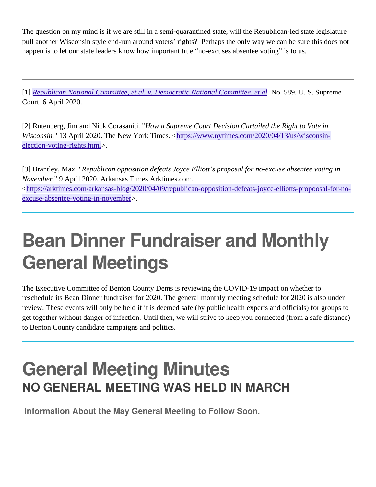The question on my mind is if we are still in a semi-quarantined state, will the Republican-led state legislature pull another Wisconsin style end-run around voters' rights? Perhaps the only way we can be sure this does not happen is to let our state leaders know how important true "no-excuses absentee voting" is to us.

[1] *[Republican National Committee, et al. v. Democratic National Committee, et al.](https://www.supremecourt.gov/opinions/19pdf/19a1016_o759.pdf)* No. 589. U. S. Supreme Court. 6 April 2020.

[2] Rutenberg, Jim and Nick Corasaniti. "*How a Supreme Court Decision Curtailed the Right to Vote in Wisconsin.*" 13 April 2020. The New York Times. [<https://www.nytimes.com/2020/04/13/us/wisconsin](https://www.nytimes.com/2020/04/13/us/wisconsin-election-voting-rights.html)[election-voting-rights.html](https://www.nytimes.com/2020/04/13/us/wisconsin-election-voting-rights.html)>.

[3] Brantley, Max. "*Republican opposition defeats Joyce Elliott's proposal for no-excuse absentee voting in November*." 9 April 2020. Arkansas Times Arktimes.com.

<[https://arktimes.com/arkansas-blog/2020/04/09/republican-opposition-defeats-joyce-elliotts-propoosal-for-no](https://arktimes.com/arkansas-blog/2020/04/09/republican-opposition-defeats-joyce-elliotts-propoosal-for-no-excuse-absentee-voting-in-november)[excuse-absentee-voting-in-november](https://arktimes.com/arkansas-blog/2020/04/09/republican-opposition-defeats-joyce-elliotts-propoosal-for-no-excuse-absentee-voting-in-november)>.

## **Bean Dinner Fundraiser and Monthly General Meetings**

The Executive Committee of Benton County Dems is reviewing the COVID-19 impact on whether to reschedule its Bean Dinner fundraiser for 2020. The general monthly meeting schedule for 2020 is also under review. These events will only be held if it is deemed safe (by public health experts and officials) for groups to get together without danger of infection. Until then, we will strive to keep you connected (from a safe distance) to Benton County candidate campaigns and politics.

### **General Meeting Minutes NO GENERAL MEETING WAS HELD IN MARCH**

**Information About the May General Meeting to Follow Soon.**